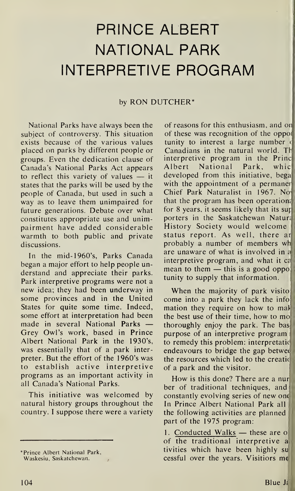## **PRINCE ALBERT NATIONAL PARK INTERPRETIVE PROGRAM**

## by RON DUTCHER\*

National Parks have always been the subject of controversy. This situation exists because of the various values placed on parks by different people or groups. Even the dedication clause of Canada's National Parks Act appears to reflect this variety of values  $-$  it states that the parks will be used by the people of Canada, but used in such a way as to leave them unimpaired for future generations. Debate over what constitutes appropriate use and unimpairment have added considerable warmth to both public and private discussions.

In the mid-1960's, Parks Canada began a major effort to help people understand and appreciate their parks. Park interpretive programs were not a new idea; they had been underway in some provinces and in the United States for quite some time. Indeed, some effort at interpretation had been made in several National Parks -Grey Owl's work, based in Prince Albert National Park in the 1930's, was essentially that of a park interpreter. But the effort of the 1960's was to establish active interpretive programs as an important activity in all Canada's National Parks.

This initiative was welcomed by natural history groups throughout the country. I suppose there were a variety

of reasons for this enthusiasm, and o of these was recognition of the oppo tunity to interest a large number ( Canadians in the natural world. T interpretive program in the Princ Albert National Park, whic developed from this initiative, bega with the appointment of a permaner Chief Park Naturalist in 1967. No that the program has been operation for 8 years, it seems likely that its su porters in the Saskatchewan Natura History Society would welcome status report. As well, there ar probably a number of members wh are unaware of what is involved in a interpretive program, and what it c mean to them  $-$  this is a good oppo tunity to supply that information.

When the majority of park visito: come into a park they lack the info mation they require on how to mak the best use of their time, how to mo. thoroughly enjoy the park. The bas purpose of an interpretive program to remedy this problem: interpretati endeavours to bridge the gap betwe the resources which led to the creati of a park and the visitor.

How is this done? There are a nur ber of traditional techniques, and constantly evolving series of new one In Prince Albert National Park all the following activities are planned part of the 1975 program:

1. Conducted Walks - these are o of the traditional interpretive a tivities which have been highly su cessful over the years. Visitiors  $me$ 

<sup>\*</sup>Prince Albert National Park, Waskesiu, Saskatchewan.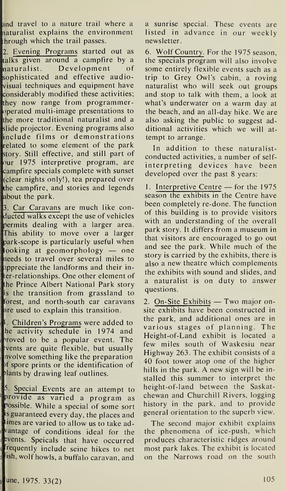and travel to a nature trail where a naturalist explains the environment hrough which the trail passes.

2. Evening Programs started out as talks given around a campfire by a aturalist. Development of sophisticated and effective audiovisuai techniques and equipment have considerably modified these activities; hey now range from programmer-1perated multi-image presentations to he more traditional naturalist and <sup>a</sup> slide projector. Evening programs also include films or demonstrations related to some element of the park story. Still effective, and still part of our 1975 interpretive program, are .ampfire specials complete with sunset (clear nights only!), tea prepared over he campfire, and stories and legends about the park.

. Car Caravans are much like conducted walks except the use of vehicles permits dealing with a larger area. This ability to move over a larger ark-scope is particularly useful when looking at geomorphology — one needs to travel over several miles to appreciate the landforms and their iner-relationships. One other element of he Prince Albert National Park story is the transition from grassland to forest, and north-south car caravans are used to explain this transition.

. Children's Programs were added to he activity schedule in 1974 and <sup>1</sup>roved to be a popular event. The , vents are quite flexible, but usually nvolve something like the preparation f spore prints or the identification of lants by drawing leaf outlines.

5. Special Events are an attempt to provide as varied a program as possible. While a special of some sort is guaranteed every day, the places and imes are varied to allow us to take ad-**Prantage of conditions ideal for the** vents. Speicals that have occurred requently include seine hikes to net 1sh, wolf howls, a buffalo caravan, and

a sunrise special. These events are listed in advance in our weekly newsletter.

6. Wolf Country. For the 1975 season, the specials program will also involve some entirely flexible events such as a trip to Grey Owl's cabin, a roving naturalist who will seek out groups and stop to talk with them, a look at what's underwater on a warm day at the beach, and an all-day hike. We are also asking the public to suggest additional activities which we will attempt to arrange.

In addition to these naturalistconducted activities, a number of selfinterpreting devices have been developed over the past 8 years:

1. Interpretive Centre  $-$  for the 1975 season the exhibits in the Centre have been completely re-done. The function of this building is to provide visitors with an understanding of the overall park story. It differs from a museum in that visitors are encouraged to go out and see the park. While much of the story is carried by the exhibits, there is also a new theatre which complements the exhibits with sound and slides, and a naturalist is on duty to answer questions.

2. On-Site Exhibits  $-$  Two major onsite exhibits have been constructed in the park, and additional ones are in various stages of planning. The Height-of-Land exhibit is located <sup>a</sup> few miles south of Waskesiu near Highway 263. The exhibit consists of <sup>a</sup> 40 foot tower atop one of the higher hills in the park. A new sign will be installed this summer to interpret the height-of-land between the Saskatchewan and Churchill Rivers, logging history in the park, and to provide general orientation to the superb view.

The second major exhibit explains the phenomena of ice-push, which produces characteristic ridges around most park lakes. The exhibit is located on the Narrows road on the south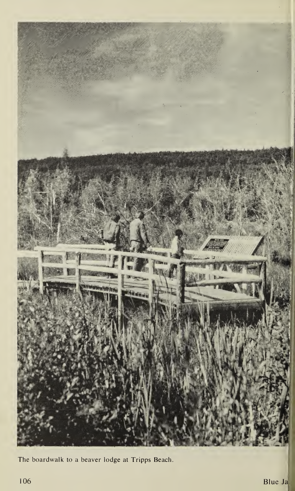

The boardwalk to a beaver lodge at Tripps Beach.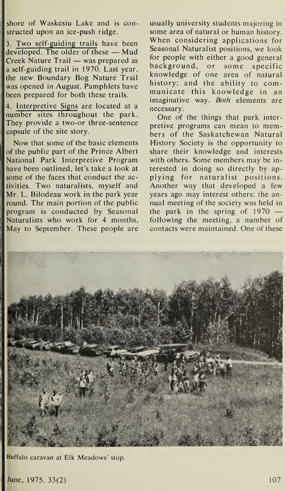shore of Waskesiu Lake and is con structed upon an ice-push ridge.

<sup>1</sup>3. Two self-guiding trails have been developed. The older of these  $-$  Mud Creek Nature  $Train - was prepared$  as a self-guiding trail in 1970. Last year, the new Boundary Bog Nature Trail was opened in August. Pamphlets have been prepared for both these trails.

4. Interpretive Signs are located at a number sites throughout the park. They provide a two-or three-sentence capsule of the. site story.

Now that some of the basic elements of the public part of the Prince Albert National Park Interpretive Program have been outlined, let's take a look at some of the faces that conduct the ac tivities. Two naturalists, myself and Mr. L. Bilodeau work in the park year round. The main portion of the public program is conducted by Seasonal Naturalists who work for 4 months, May to September. These people are usually university students majoring in ' some area of natural or human history. When considering applications for Seasonal Naturalist positions, we look for people with either a good general background, or some specific knowledge of one area of natural history; and the ability to communicate this knowledge in an imaginative way. *Both* elements are necessary.

One of the things that park interpretive programs can mean to members of the Saskatchewan Natural History Society is the opportunity to share their knowledge and interests with others. Some members may be interested in doing so directly by applying for naturalist positions. Another way that developed a few years ago may interest others: the annual meeting of the society was held in the park in the spring of  $1970$ following the meeting, a number of contacts were maintained. One of these



Buffalo caravan at Elk Meadows' stop.